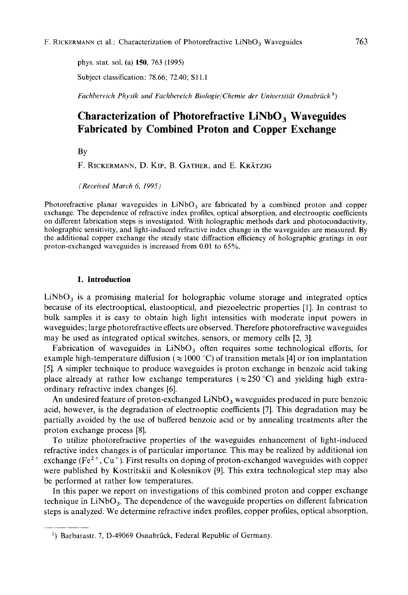phys. stat. sol. (a) **150,** 763 (1995) Subject classification: 78.66; 72.40; Sl1.1

*Fachbereich Physik und Fachbereich BiologielChemie der Universitat Osnabriick* ')

# **Characterization of Photorefractive LiNbO, Waveguides Fabricated by Combined Proton and Copper Exchange**

BY

F. **RICKERMANN,** D. KIP, B. **GATHER,** and E. **KRATZIG** 

*(Received March 6, 1995)* 

Photorefractive planar waveguides in  $LiNbO<sub>3</sub>$  are fabricated by a combined proton and copper exchange. The dependence of refractive index profiles, optical absorption, and electrooptic coefficients on different fabrication steps **is** investigated. With holographic methods dark and photoconductivity, holographic sensitivity, and light-induced refractive index change in the waveguides are measured. By the additional copper exchange the steady state diffraction efficiency of holographic gratings in our proton-exchanged waveguides is increased from 0.01 to 65%.

# **1. Introduction**

 $LiNbO<sub>3</sub>$  is a promising material for holographic volume storage and integrated optics because of its electrooptical, elastooptical, and piezoelectric properties [ 11. In contrast to bulk samples it is easy to obtain high light intensities with moderate input powers in waveguides; large photorefractive effects are observed. Therefore photorefractive waveguides may be used as integrated optical switches, sensors, or memory cells *[2,* 31.

Fabrication of waveguides in  $LiNbO<sub>3</sub>$  often requires some technological efforts, for example high-temperature diffusion  $(\approx 1000 \degree C)$  of transition metals [4] or ion implantation *[5].* A simpler technique to produce waveguides is proton exchange in benzoic acid taking place already at rather low exchange temperatures  $(\approx 250 \degree C)$  and yielding high extraordinary refractive index changes [6].

An undesired feature of proton-exchanged  $LiNbO<sub>3</sub>$  waveguides produced in pure benzoic acid, however, is the degradation of electrooptic coefficients [7]. This degradation may be partially avoided by the use of buffered benzoic acid or by annealing treatments after the proton exchange process [S].

To utilize photorefractive properties of the waveguides enhancement of light-induced refractive index changes is of particular importance. This may be realized by additional ion exchange ( $Fe<sup>2+</sup>, Cu<sup>+</sup>$ ). First results on doping of proton-exchanged waveguides with copper were published by Kostritskii and Kolesnikov 191. This extra technological step may also be performed at rather low temperatures.

In this paper we report on investigations of this combined proton and copper exchange technique in  $LiNbO<sub>3</sub>$ . The dependence of the waveguide properties on different fabrication steps is analyzed. We determine refractive index profiles, copper profiles, optical absorption,

<sup>&</sup>lt;sup>1</sup>) Barbarastr. 7, D-49069 Osnabrück, Federal Republic of Germany.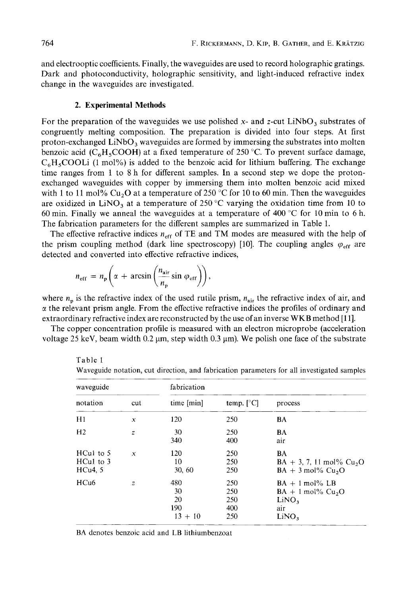and electrooptic coefficients. Finally, the waveguides are used to record holographic gratings. Dark and photoconductivity, holographic sensitivity, and light-induced refractive index change in the waveguides are investigated.

#### **2. Experimental Methods**

For the preparation of the waveguides we use polished x- and z-cut LiNbO<sub>3</sub> substrates of congruently melting composition. The preparation is divided into four steps. At first proton-exchanged  $\text{LiNbO}_3$  waveguides are formed by immersing the substrates into molten benzoic acid ( $C_6H_5COOH$ ) at a fixed temperature of 250 °C. To prevent surface damage,  $C_6H_5COOLi$  (1 mol%) is added to the benzoic acid for lithium buffering. The exchange time ranges from 1 to 8 h for different samples. In a second step we dope the protonexchanged waveguides with copper by immersing them into molten benzoic acid mixed with 1 to 11 mol% Cu<sub>2</sub>O at a temperature of 250 °C for 10 to 60 min. Then the waveguides are oxidized in LiNO<sub>3</sub> at a temperature of 250 °C varying the oxidation time from 10 to 60 min. Finally we anneal the waveguides at a temperature of 400 °C for 10 min to 6 h. The fabrication parameters for the different samples are summarized in Table 1.

The effective refractive indices  $n_{\text{eff}}$  of TE and TM modes are measured with the help of the prism coupling method (dark line spectroscopy) [10]. The coupling angles  $\varphi_{\text{eff}}$  are detected and converted into effective refractive indices,

$$
n_{\rm eff} = n_{\rm p} \left( \alpha + \arcsin \left( \frac{n_{\rm air}}{n_{\rm p}} \sin \varphi_{\rm eff} \right) \right),
$$

where  $n_p$  is the refractive index of the used rutile prism,  $n_{air}$  the refractive index of air, and  $\alpha$  the relevant prism angle. From the effective refractive indices the profiles of ordinary and extraordinary refractive index are reconstructed by the use of an inverse WKB method [11].

The copper concentration profile is measured with an electron microprobe (acceleration voltage 25 keV, beam width  $0.2 \mu m$ , step width  $0.3 \mu m$ ). We polish one face of the substrate

| waveguide                              |                  | fabrication                         |                                 |                                                                                           |
|----------------------------------------|------------------|-------------------------------------|---------------------------------|-------------------------------------------------------------------------------------------|
| notation                               | cut              | time [min]                          | temp. $\lceil \degree C \rceil$ | process                                                                                   |
| H1                                     | x                | 120                                 | 250                             | BA                                                                                        |
| H <sub>2</sub>                         | $\overline{z}$   | 30<br>340                           | 250<br>400                      | BA<br>air                                                                                 |
| $HCu1$ to 5<br>$HCu1$ to $3$<br>HCu4.5 | $\boldsymbol{x}$ | 120<br>10<br>30, 60                 | 250<br>250<br>250               | BA<br>$BA + 3$ , 7, 11 mol% Cu <sub>2</sub> O<br>$BA + 3$ mol% $Cu2O$                     |
| HCu <sub>6</sub>                       | z                | 480<br>30<br>20<br>190<br>$13 + 10$ | 250<br>250<br>250<br>400<br>250 | $BA + 1$ mol% LB<br>$BA + 1$ mol% $Cu2O$<br>LiNO <sub>3</sub><br>air<br>LiNO <sub>3</sub> |

Table 1

Waveguide notation, cut direction, and fabrication parameters for all investigated samples

BA denotes benzoic acid and LB lithiumbenzoat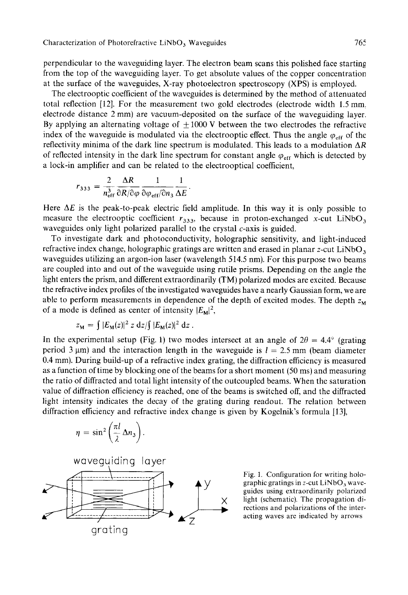perpendicular to the waveguiding layer. The electron beam scans this polished face starting from the top of the waveguiding layer. To get absolute values of the copper concentration at the surface of the waveguides, X-ray photoelectron spectroscopy **(XPS)** is employed.

The electrooptic coefficient of the waveguides is determined by the method of attenuated total reflection [12]. For the measurement two gold electrodes (electrode width 1.5 mm. electrode distance 2 mm) are vacuum-deposited on the surface of the waveguiding layer. By applying an alternating voltage of  $\pm 1000$  V between the two electrodes the refractive index of the waveguide is modulated via the electrooptic effect. Thus the angle  $\varphi_{\text{eff}}$  of the reflectivity minima of the dark line spectrum is modulated. This leads to a modulation *AR*  of reflected intensity in the dark line spectrum for constant angle  $\varphi_{\text{eff}}$  which is detected by a lock-in amplifier and can be related to the electrooptical coefficient,<br>  $r_{333} = \frac{2}{n_{\text{eff}}^3} \frac{\Delta R}{\partial R/\partial \varphi} \frac{1}{\partial \varphi_{\text{eff}}/\partial n_3} \frac{1}{\Delta E}$ .

$$
r_{333} = \frac{2}{n_{\text{eff}}^3} \frac{\Delta R}{\partial R/\partial \varphi} \frac{1}{\partial \varphi_{\text{eff}}/\partial n_3} \frac{1}{\Delta E}.
$$

Here  $\Delta E$  is the peak-to-peak electric field amplitude. In this way it is only possible to measure the electrooptic coefficient  $r_{333}$ , because in proton-exchanged x-cut LiNbO<sub>3</sub> waveguides only light polarized parallel to the crystal  $c$ -axis is guided.

To investigate dark and photoconductivity, holographic sensitivity, and light-induced refractive index change, holographic gratings are written and erased in planar z-cut LiNbO, waveguides utilizing an argon-ion laser (wavelength 514.5 nm). For this purpose two beams are coupled into and out of the waveguide using rutile prisms. Depending on the angle the light enters the prism, and different extraordinarily (TM) polarized modes are excited. Because the refractive index profiles of the investigated waveguides have a nearly Gaussian form, we are able to perform measurements in dependence of the depth of excited modes. The depth  $z_M$ of a mode is defined as center of intensity  $|E_{\rm M}|^2$ ,

$$
z_{\mathbf{M}} = \int |E_{\mathbf{M}}(z)|^2 z \, dz / \int |E_{\mathbf{M}}(z)|^2 \, dz.
$$

In the experimental setup (Fig. 1) two modes intersect at an angle of  $2\theta = 4.4^{\circ}$  (grating period 3  $\mu$ m) and the interaction length in the waveguide is  $l = 2.5$  mm (beam diameter 0.4 mm). During build-up of a refractive index grating, the diffraction efficiency is measured as a function of time by blocking one of the beams for a short moment (50 ms) and measuring the ratio of diffracted and total light intensity of the outcoupled beams. When the saturation value of diffraction efficiency is reached, one of the beams is switched off, and the diffracted light intensity indicates the decay of the grating during readout. The relation between diffraction efficiency and refractive index change is given by Kogelnik's formula [13], period 3 µm) and the interaction length in the waveguide is  $l = 2.5$  mm (beam diameter<br>0.4 mm). During build-up of a refractive index grating, the diffraction efficiency is measured<br>0.4 mm). During build-up of a refractiv



graphic gratings in z-cut LiNbO<sub>3</sub> waveguides using extraordinarily polarized light (schematic). The propagation di-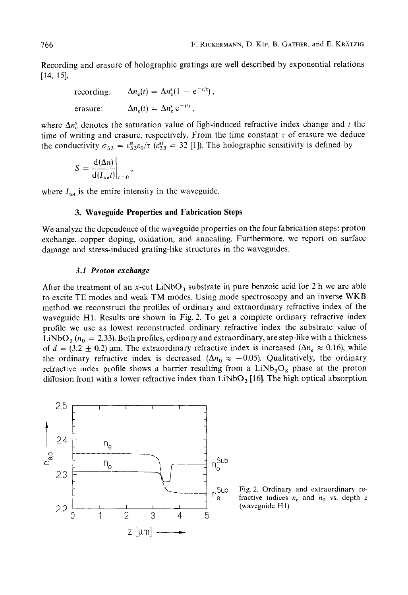Recording and erasure of holographic gratings are well described by exponential relations  $[14, 15]$ ,

> recording: erasure:  $\Delta n_e(t) = \Delta n_e^s e^{-t/\tau}$ ,  $\Delta n_{\rm e}(t) = \Delta n_{\rm e}^{\rm s}(1 - e^{-t/\tau}),$

where  $\Delta n_e^s$  denotes the saturation value of ligh-induced refractive index change and *t* the time of writing and erasure, respectively. From the time constant  $\tau$  of erasure we deduce the conductivity  $\sigma_{33} = \varepsilon_{33}^{st}\varepsilon_0/\tau$  ( $\varepsilon_{33}^{st} = 32$  [1]). The holographic sensitivity is defined by

$$
S = \frac{d(\Delta n)}{d(I_{\text{tot}}t)}\bigg|_{t=0},
$$

where  $I_{\text{tot}}$  is the entire intensity in the waveguide.

# **3. Waveguide Properties and Fabrication Steps**

We analyze the dependence of the waveguide properties on the four fabrication steps: proton exchange, copper doping, oxidation, and annealing. Furthermore, we report on surface damage and stress-induced grating-like structures in the waveguides.

# *3.1 Proton exchange*

After the treatment of an x-cut  $LiNbO<sub>3</sub>$  substrate in pure benzoic acid for 2 h we are able to excite TE modes and weak TM modes. Using mode spectroscopy and an inverse WKB method we reconstruct the profiles of ordinary and extraordinary refractive index of the waveguide H1. Results are shown in Fig. 2. To get a complete ordinary refractive index profile we use as lowest reconstructed ordinary refractive index the substrate value of LiNbO<sub>3</sub> ( $n_0 = 2.33$ ). Both profiles, ordinary and extraordinary, are step-like with a thickness of  $d = (3.2 \pm 0.2)$  µm. The extraordinary refractive index is increased ( $\Delta n_e \approx 0.16$ ), while the ordinary refractive index is decreased ( $\Delta n_0 \approx -0.05$ ). Qualitatively, the ordinary refractive index profile shows a barrier resulting from a  $LiNb<sub>3</sub>O<sub>8</sub>$  phase at the proton diffusion front with a lower refractive index than  $LiNbO<sub>3</sub>$  [16]. The high optical absorption



 $n_e$ Sub Fig. 2. Ordinary and extraordinary re-<br>fractive indices  $n_e$  and  $n_0$  vs. depth z fractive indices  $n_e$  and  $n_0$  vs. depth  $z$ (waveguide H1)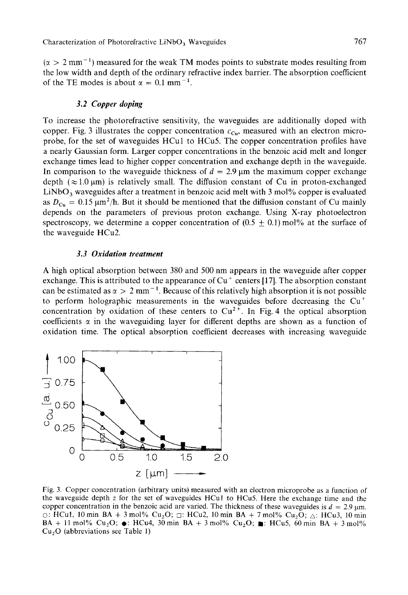$(x > 2$  mm<sup>-1</sup>) measured for the weak TM modes points to substrate modes resulting from the low width and depth of the ordinary refractive index barrier. The absorption coefficient of the TE modes is about  $\alpha = 0.1$  mm<sup>-1</sup>.

# *3.2 Copper doping*

To increase the photorefractive sensitivity, the waveguides are additionally doped with copper. Fig. 3 illustrates the copper concentration  $c_{Cu}$ , measured with an electron microprobe, for the set of waveguides HCul to HCu5. The copper concentration profiles have a nearly Gaussian form. Larger copper concentrations in the benzoic acid melt and longer exchange times lead to higher copper concentration and exchange depth in the waveguide. In comparison to the waveguide thickness of  $d = 2.9 \,\mu m$  the maximum copper exchange depth  $(\approx 1.0 \,\mu\text{m})$  is relatively small. The diffusion constant of Cu in proton-exchanged LiNbO<sub>3</sub> waveguides after a treatment in benzoic acid melt with 3 mol% copper is evaluated as  $D_{Cu} = 0.15 \,\text{\mu m}^2/\text{h}$ . But it should be mentioned that the diffusion constant of Cu mainly depends on the parameters of previous proton exchange. Using X-ray photoelectron spectroscopy, we determine a copper concentration of  $(0.5 + 0.1)$  mol% at the surface of the waveguide HCu2.

# *3.3 Oxidation treatment*

**A** high optical absorption between 380 and 500 nm appears in the waveguide after copper exchange. This is attributed to the appearance of  $Cu<sup>+</sup>$  centers [17]. The absorption constant can be estimated as  $\alpha > 2$  mm<sup>-1</sup>. Because of this relatively high absorption it is not possible to perform holographic measurements in the waveguides before decreasing the  $Cu<sup>+</sup>$ concentration by oxidation of these centers to  $Cu^{2+}$ . In Fig. 4 the optical absorption coefficients  $\alpha$  in the waveguiding layer for different depths are shown as a function of oxidation time. The optical absorption coefficient decreases with increasing waveguide



Fig. 3. Copper concentration (arbitrary units) measured with an electron microprobe as a function of the waveguide depth *z* for the set of waveguides HCul to HCu5. Here the exchange time and the copper concentration in the benzoic acid are varied. The thickness of these waveguides is  $d = 2.9 \text{ µm}$ . *0:* HCul, **10** rnin **BA** + 3 mol% Cu,O; *0:* HCu2, **10** rnin **BA** + 7 mol% Cu,O; a: HCu3, 10 min **BA** + 11 mol% Cu<sub>2</sub>O;  $\bullet$ : HCu4, 30 min **BA** + 3 mol% Cu<sub>2</sub>O; **m**: HCu5, 60 min **BA** + 3 mol% Cu,O (abbreviations see Table **I)**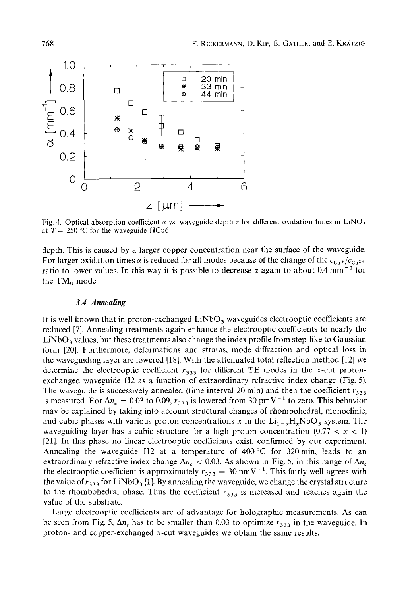

Fig. 4. Optical absorption coefficient  $\alpha$  vs. waveguide depth z for different oxidation times in LiNO<sub>3</sub> at  $T = 250$  °C for the waveguide HCu6

depth. This is caused by a larger copper concentration near the surface of the waveguide. For larger oxidation times  $\alpha$  is reduced for all modes because of the change of the  $c_{Cu}$  +/ $c_{Cu^2}$ + ratio to lower values. In this way it is possible to decrease  $\alpha$  again to about 0.4 mm<sup>-1</sup> for the  $TM_0$  mode.

# *3.4 Annealing*

F. RECEIVANCE, D. Kir. B. GATHER, and E. KRATZIG<br>
<br> **14. All**  $\frac{1}{2}$ <br> **14. All**  $\frac{1}{2}$ <br> **14. All**  $\frac{1}{2}$ <br> **14. All**  $\frac{1}{2}$ <br> **14. All**  $\frac{1}{2}$ <br> **14. All**  $\frac{1}{2}$ <br> **14. All**  $\frac{1}{2}$ <br> **14. All**  $\frac{1}{2}$ <br> It is well known that in proton-exchanged  $LiNbO<sub>3</sub>$  waveguides electrooptic coefficients are reduced [7]. Annealing treatments again enhance the electrooptic coefficients to nearly the  $LiNbO<sub>3</sub>$  values, but these treatments also change the index profile from step-like to Gaussian form [20]. Furthermore, deformations and strains, mode diffraction and optical loss in the waveguiding layer are lowered [18]. With the attenuated total reflection method [12] we determine the electrooptic coefficient  $r_{333}$  for different TE modes in the x-cut protonexchanged waveguide H2 as a function of extraordinary refractive index change (Fig. *5).*  The waveguide is successively annealed (time interval 20 min) and then the coefficient  $r_{3,3}$ is measured. For  $\Delta n_e = 0.03$  to 0.09,  $r_{333}$  is lowered from 30 pmV<sup>-1</sup> to zero. This behavior may be explained by taking into account structural changes of rhombohedral, monoclinic, and cubic phases with various proton concentrations x in the  $Li_{1-x}H_xNbO_3$  system. The waveguiding layer has a cubic structure for a high proton concentration  $(0.77 < x < 1)$ [21]. In this phase no linear electrooptic coefficients exist, confirmed by our experiment. Annealing the waveguide H2 at a temperature of  $400^{\circ}$ C for 320 min, leads to an extraordinary refractive index change  $\Delta n_c < 0.03$ . As shown in Fig. 5, in this range of  $\Delta n_e$ the electrooptic coefficient is approximately  $r_{333} = 30 \text{ pmV}^{-1}$ . This fairly well agrees with the value of  $r_{333}$  for LiNbO<sub>3</sub> [1]. By annealing the waveguide, we change the crystal structure to the rhombohedral phase. Thus the coefficient  $r_{333}$  is increased and reaches again the value of the substrate.

Large electrooptic coefficients are of advantage for holographic measurements. As can be seen from Fig. 5,  $\Delta n_e$  has to be smaller than 0.03 to optimize  $r_{333}$  in the waveguide. In proton- and copper-exchanged x-cut waveguides we obtain the same results.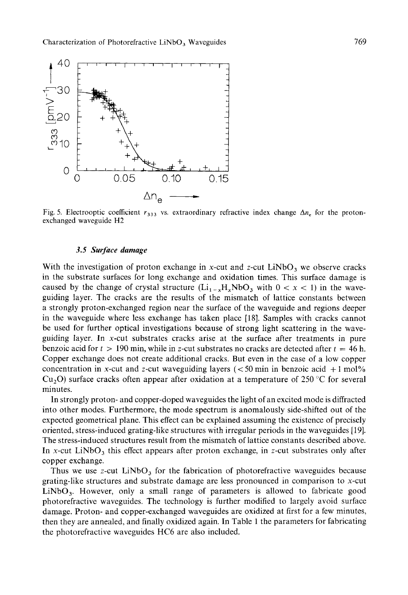

Fig. 5. Electrooptic coefficient  $r_{333}$  vs. extraordinary refractive index change  $\Delta n_e$  for the protonexchanged waveguide H2

# **3.5** *Surface damage*

With the investigation of proton exchange in x-cut and z-cut  $LiNbO<sub>3</sub>$  we observe cracks in the substrate surfaces for long exchange and oxidation times. This surface damage is caused by the change of crystal structure  $(Li_{1-x}H_xNbO_3$  with  $0 < x < 1$ ) in the waveguiding layer. The cracks are the results of the mismatch of lattice constants between a strongly proton-exchanged region near the surface of the waveguide and regions deeper in the waveguide where less exchange has taken place [18]. Samples with cracks cannot be used for further optical investigations because of strong light scattering in the waveguiding layer. In x-cut substrates cracks arise at the surface after treatments in pure benzoic acid for  $t > 190$  min, while in z-cut substrates no cracks are detected after  $t = 46$  h. Copper exchange does not create additional cracks. But even in the case of a low copper concentration in x-cut and z-cut waveguiding layers ( $\lt 50$  min in benzoic acid  $+1$  mol%  $Cu<sub>2</sub>O$ ) surface cracks often appear after oxidation at a temperature of 250 °C for several minutes.

In strongly proton- and copper-doped waveguides the light of an excited mode is diffracted into other modes. Furthermore, the mode spectrum is anomalously side-shifted out of the expected geometrical plane. This effect can be explained assuming the existence of precisely oriented, stress-induced grating-like structures with irregular periods in the waveguides [ 191. The stress-induced structures result from the mismatch of lattice constants described above. In x-cut LiNbO<sub>3</sub> this effect appears after proton exchange, in z-cut substrates only after copper exchange.

Thus we use z-cut  $LiNbO<sub>3</sub>$  for the fabrication of photorefractive waveguides because grating-like structures and substrate damage are less pronounced in comparison to x-cut  $LiNbO<sub>3</sub>$ . However, only a small range of parameters is allowed to fabricate good photorefractive waveguides. The technology is further modified to largely avoid surface damage. Proton- and copper-exchanged waveguides are oxidized at first for a few minutes, then they are annealed, and finally oxidized again. In Table 1 the parameters for fabricating the photorefractive waveguides HC6 are also included.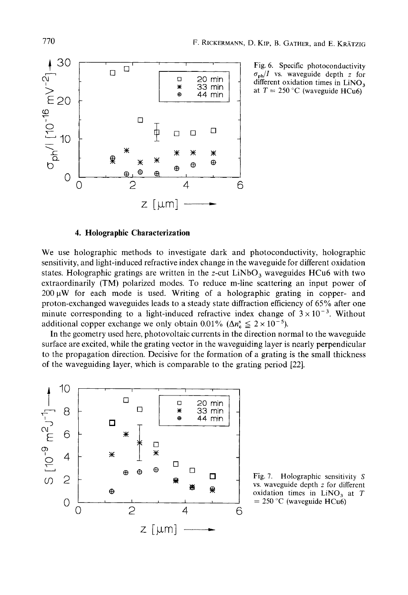

Fig. 6. Specific photoconductivity  $\sigma_{ph}/I$  vs. waveguide depth *z* for different oxidation times in LiNO, at  $T = 250$  °C (waveguide HCu6)

# **4. Holographic Characterization**

We use holographic methods to investigate dark and photoconductivity, holographic sensitivity, and light-induced refractive index change in the waveguide for different oxidation states. Holographic gratings are written in the z-cut  $LiNbO<sub>3</sub>$  waveguides HCu6 with two extraordinarily (TM) polarized modes. To reduce m-line scattering an input power of  $200 \mu W$  for each mode is used. Writing of a holographic grating in copper- and proton-exchanged waveguides leads to a steady state diffraction efficiency of 65% after one minute corresponding to a light-induced refractive index change of  $3 \times 10^{-3}$ . Without additional copper exchange we only obtain 0.01% ( $\Delta n_{\rm e}^{\rm s} \leq 2 \times 10^{-5}$ ).

In the geometry used here, photovoltaic currents in the direction normal to the waveguide surface are excited, while the grating vector in the waveguiding layer is nearly perpendicular to the propagation direction. Decisive for the formation of a grating is the small thickness of the waveguiding layer, which is comparable to the grating period [22].



Fig. 7. Holographic sensitivity *S* vs. waveguide depth *z* for different  $= 250$  °C (waveguide HCu6)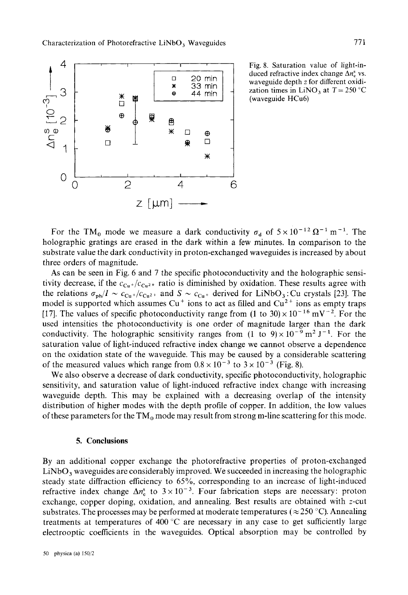

Fig. 8. Saturation value of light-induced refractive index change  $\Delta n_e^s$  vs. waveguide depth *z* for different oxidization times in LiNO<sub>3</sub> at  $T = 250$  °C (waveguide HCu6)

For the TM<sub>0</sub> mode we measure a dark conductivity  $\sigma_d$  of  $5 \times 10^{-12} \Omega^{-1}$  m<sup>-1</sup>. The holographic gratings are erased in the dark within a few minutes. In comparison to the substrate value the dark conductivity in proton-exchanged waveguides is increased by about three orders of magnitude.

**As** can be seen in Fig. 6 and 7 the specific photoconductivity and the holographic sensitivity decrease, if the  $c_{Cu^{+}}/c_{Cu^{2+}}$  ratio is diminished by oxidation. These results agree with the relations  $\sigma_{ph}/I \sim c_{Cu^+}/c_{Cu^2+}$  and  $S \sim c_{Cu^+}$  derived for LiNbO<sub>3</sub>: Cu crystals [23]. The model is supported which assumes  $Cu^+$  ions to act as filled and  $Cu^{2+}$  ions as empty traps [17]. The values of specific photoconductivity range from (1 to 30)  $\times$  10<sup>-16</sup> mV<sup>-2</sup>. For the used intensities the photoconductivity is one order of magnitude larger than the dark conductivity. The holographic sensitivity ranges from  $(1 \text{ to } 9) \times 10^{-9} \text{ m}^2 \text{ J}^{-1}$ . For the saturation value of light-induced refractive index change we cannot observe a dependence on the oxidation state of the waveguide. This may be caused by a considerable scattering of the measured values which range from  $0.8 \times 10^{-3}$  to  $3 \times 10^{-3}$  (Fig. 8).

We also observe a decrease of dark conductivity, specific photoconductivity, holographic sensitivity, and saturation value of light-induced refractive index change with increasing waveguide depth. This may be explained with a decreasing overlap of the intensity distribution of higher modes with the depth profile of copper. In addition, the low values of these parameters for the  $TM_0$  mode may result from strong m-line scattering for this mode.

#### **5. Conclusions**

By an additional copper exchange the photorefractive properties of proton-exchanged LiNbO, waveguides are considerably improved. We succeeded in increasing the holographic steady state diffraction efficiency to *65%,* corresponding to an increase of light-induced refractive index change  $\Delta n_{\rm e}^{\rm s}$  to  $3 \times 10^{-3}$ . Four fabrication steps are necessary: proton exchange, copper doping, oxidation, and annealing. Best results are obtained with z-cut substrates. The processes may be performed at moderate temperatures  $(\approx 250 \degree C)$ . Annealing treatments at temperatures of 400 $^{\circ}$ C are necessary in any case to get sufficiently large electrooptic coefficients in the waveguides. Optical absorption may be controlled by